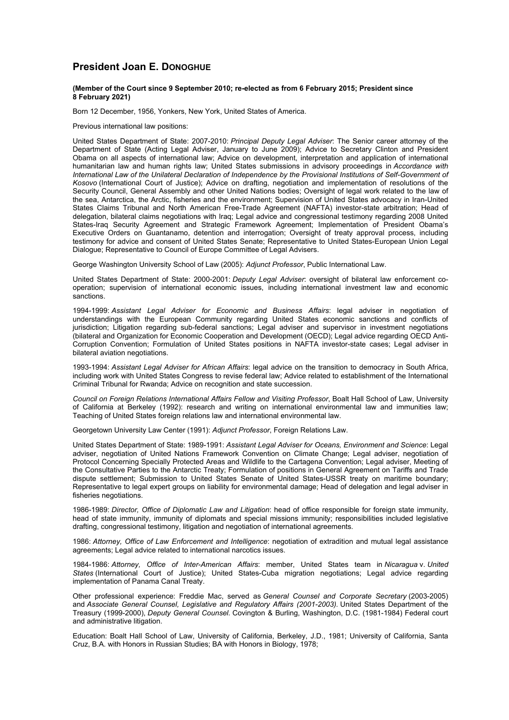## **President Joan E. DONOGHUE**

## **(Member of the Court since 9 September 2010; re-elected as from 6 February 2015; President since 8 February 2021)**

Born 12 December, 1956, Yonkers, New York, United States of America.

Previous international law positions:

United States Department of State: 2007-2010: *Principal Deputy Legal Adviser*: The Senior career attorney of the Department of State (Acting Legal Adviser, January to June 2009); Advice to Secretary Clinton and President Obama on all aspects of international law; Advice on development, interpretation and application of international humanitarian law and human rights law; United States submissions in advisory proceedings in *Accordance with International Law of the Unilateral Declaration of Independence by the Provisional Institutions of Self-Government of Kosovo* (International Court of Justice); Advice on drafting, negotiation and implementation of resolutions of the Security Council, General Assembly and other United Nations bodies; Oversight of legal work related to the law of the sea, Antarctica, the Arctic, fisheries and the environment; Supervision of United States advocacy in Iran-United States Claims Tribunal and North American Free-Trade Agreement (NAFTA) investor-state arbitration; Head of delegation, bilateral claims negotiations with Iraq; Legal advice and congressional testimony regarding 2008 United States-Iraq Security Agreement and Strategic Framework Agreement; Implementation of President Obama's Executive Orders on Guantanamo, detention and interrogation; Oversight of treaty approval process, including testimony for advice and consent of United States Senate; Representative to United States-European Union Legal Dialogue; Representative to Council of Europe Committee of Legal Advisers.

George Washington University School of Law (2005): *Adjunct Professor*, Public International Law.

United States Department of State: 2000-2001: *Deputy Legal Adviser*: oversight of bilateral law enforcement cooperation; supervision of international economic issues, including international investment law and economic sanctions.

1994-1999: *Assistant Legal Adviser for Economic and Business Affairs*: legal adviser in negotiation of understandings with the European Community regarding United States economic sanctions and conflicts of jurisdiction; Litigation regarding sub-federal sanctions; Legal adviser and supervisor in investment negotiations (bilateral and Organization for Economic Cooperation and Development (OECD); Legal advice regarding OECD Anti-Corruption Convention; Formulation of United States positions in NAFTA investor-state cases; Legal adviser in bilateral aviation negotiations.

1993-1994: *Assistant Legal Adviser for African Affairs*: legal advice on the transition to democracy in South Africa, including work with United States Congress to revise federal law; Advice related to establishment of the International Criminal Tribunal for Rwanda; Advice on recognition and state succession.

*Council on Foreign Relations International Affairs Fellow and Visiting Professor*, Boalt Hall School of Law, University of California at Berkeley (1992): research and writing on international environmental law and immunities law; Teaching of United States foreign relations law and international environmental law.

Georgetown University Law Center (1991): *Adjunct Professor*, Foreign Relations Law.

United States Department of State: 1989-1991: *Assistant Legal Adviser for Oceans, Environment and Science*: Legal adviser, negotiation of United Nations Framework Convention on Climate Change; Legal adviser, negotiation of Protocol Concerning Specially Protected Areas and Wildlife to the Cartagena Convention; Legal adviser, Meeting of the Consultative Parties to the Antarctic Treaty; Formulation of positions in General Agreement on Tariffs and Trade dispute settlement; Submission to United States Senate of United States-USSR treaty on maritime boundary; Representative to legal expert groups on liability for environmental damage; Head of delegation and legal adviser in fisheries negotiations.

1986-1989: *Director, Office of Diplomatic Law and Litigation*: head of office responsible for foreign state immunity, head of state immunity, immunity of diplomats and special missions immunity; responsibilities included legislative drafting, congressional testimony, litigation and negotiation of international agreements.

1986: *Attorney, Office of Law Enforcement and Intelligence*: negotiation of extradition and mutual legal assistance agreements; Legal advice related to international narcotics issues.

1984-1986: *Attorney, Office of Inter-American Affairs*: member, United States team in *Nicaragua* v. *United States* (International Court of Justice); United States-Cuba migration negotiations; Legal advice regarding implementation of Panama Canal Treaty.

Other professional experience: Freddie Mac, served as *General Counsel and Corporate Secretary* (2003-2005) and *Associate General Counsel, Legislative and Regulatory Affairs (2001-2003).* United States Department of the Treasury (1999-2000), *Deputy General Counsel.* Covington & Burling, Washington, D.C. (1981-1984) Federal court and administrative litigation.

Education: Boalt Hall School of Law, University of California, Berkeley, J.D., 1981; University of California, Santa Cruz, B.A. with Honors in Russian Studies; BA with Honors in Biology, 1978;